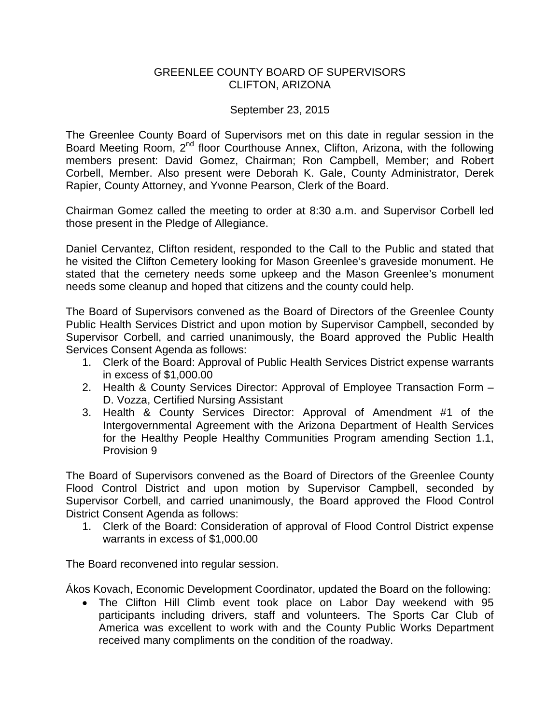## GREENLEE COUNTY BOARD OF SUPERVISORS CLIFTON, ARIZONA

## September 23, 2015

The Greenlee County Board of Supervisors met on this date in regular session in the Board Meeting Room, 2<sup>nd</sup> floor Courthouse Annex, Clifton, Arizona, with the following members present: David Gomez, Chairman; Ron Campbell, Member; and Robert Corbell, Member. Also present were Deborah K. Gale, County Administrator, Derek Rapier, County Attorney, and Yvonne Pearson, Clerk of the Board.

Chairman Gomez called the meeting to order at 8:30 a.m. and Supervisor Corbell led those present in the Pledge of Allegiance.

Daniel Cervantez, Clifton resident, responded to the Call to the Public and stated that he visited the Clifton Cemetery looking for Mason Greenlee's graveside monument. He stated that the cemetery needs some upkeep and the Mason Greenlee's monument needs some cleanup and hoped that citizens and the county could help.

The Board of Supervisors convened as the Board of Directors of the Greenlee County Public Health Services District and upon motion by Supervisor Campbell, seconded by Supervisor Corbell, and carried unanimously, the Board approved the Public Health Services Consent Agenda as follows:

- 1. Clerk of the Board: Approval of Public Health Services District expense warrants in excess of \$1,000.00
- 2. Health & County Services Director: Approval of Employee Transaction Form D. Vozza, Certified Nursing Assistant
- 3. Health & County Services Director: Approval of Amendment #1 of the Intergovernmental Agreement with the Arizona Department of Health Services for the Healthy People Healthy Communities Program amending Section 1.1, Provision 9

The Board of Supervisors convened as the Board of Directors of the Greenlee County Flood Control District and upon motion by Supervisor Campbell, seconded by Supervisor Corbell, and carried unanimously, the Board approved the Flood Control District Consent Agenda as follows:

1. Clerk of the Board: Consideration of approval of Flood Control District expense warrants in excess of \$1,000.00

The Board reconvened into regular session.

Ákos Kovach, Economic Development Coordinator, updated the Board on the following:

• The Clifton Hill Climb event took place on Labor Day weekend with 95 participants including drivers, staff and volunteers. The Sports Car Club of America was excellent to work with and the County Public Works Department received many compliments on the condition of the roadway.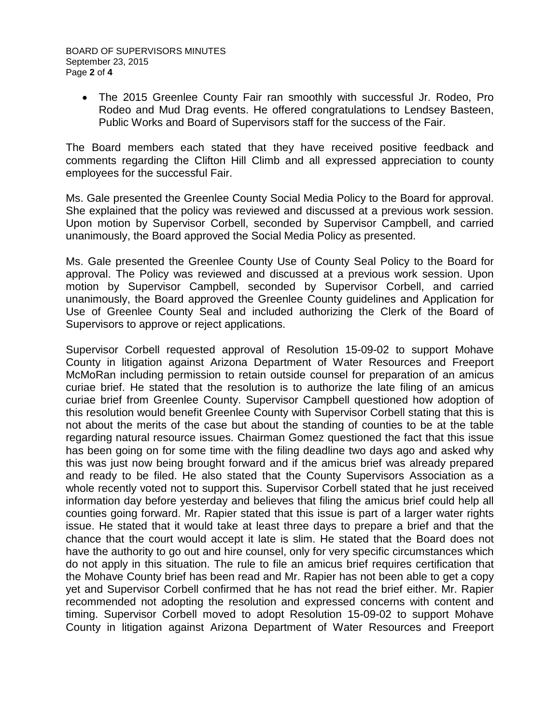• The 2015 Greenlee County Fair ran smoothly with successful Jr. Rodeo, Pro Rodeo and Mud Drag events. He offered congratulations to Lendsey Basteen, Public Works and Board of Supervisors staff for the success of the Fair.

The Board members each stated that they have received positive feedback and comments regarding the Clifton Hill Climb and all expressed appreciation to county employees for the successful Fair.

Ms. Gale presented the Greenlee County Social Media Policy to the Board for approval. She explained that the policy was reviewed and discussed at a previous work session. Upon motion by Supervisor Corbell, seconded by Supervisor Campbell, and carried unanimously, the Board approved the Social Media Policy as presented.

Ms. Gale presented the Greenlee County Use of County Seal Policy to the Board for approval. The Policy was reviewed and discussed at a previous work session. Upon motion by Supervisor Campbell, seconded by Supervisor Corbell, and carried unanimously, the Board approved the Greenlee County guidelines and Application for Use of Greenlee County Seal and included authorizing the Clerk of the Board of Supervisors to approve or reject applications.

Supervisor Corbell requested approval of Resolution 15-09-02 to support Mohave County in litigation against Arizona Department of Water Resources and Freeport McMoRan including permission to retain outside counsel for preparation of an amicus curiae brief. He stated that the resolution is to authorize the late filing of an amicus curiae brief from Greenlee County. Supervisor Campbell questioned how adoption of this resolution would benefit Greenlee County with Supervisor Corbell stating that this is not about the merits of the case but about the standing of counties to be at the table regarding natural resource issues. Chairman Gomez questioned the fact that this issue has been going on for some time with the filing deadline two days ago and asked why this was just now being brought forward and if the amicus brief was already prepared and ready to be filed. He also stated that the County Supervisors Association as a whole recently voted not to support this. Supervisor Corbell stated that he just received information day before yesterday and believes that filing the amicus brief could help all counties going forward. Mr. Rapier stated that this issue is part of a larger water rights issue. He stated that it would take at least three days to prepare a brief and that the chance that the court would accept it late is slim. He stated that the Board does not have the authority to go out and hire counsel, only for very specific circumstances which do not apply in this situation. The rule to file an amicus brief requires certification that the Mohave County brief has been read and Mr. Rapier has not been able to get a copy yet and Supervisor Corbell confirmed that he has not read the brief either. Mr. Rapier recommended not adopting the resolution and expressed concerns with content and timing. Supervisor Corbell moved to adopt Resolution 15-09-02 to support Mohave County in litigation against Arizona Department of Water Resources and Freeport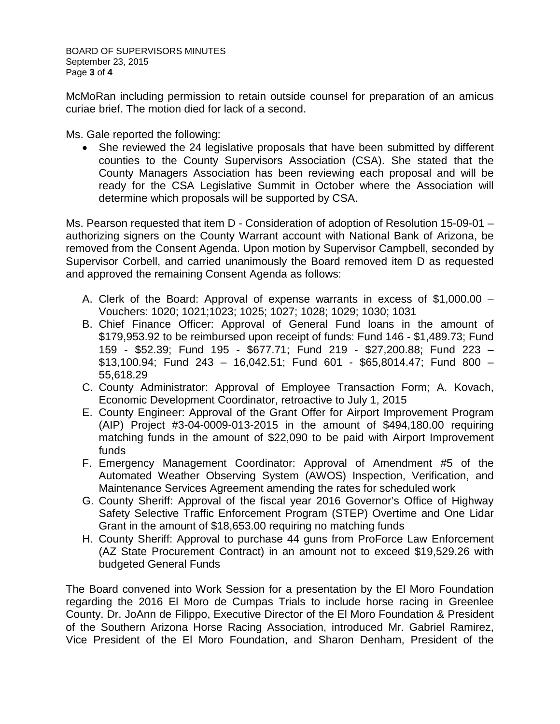BOARD OF SUPERVISORS MINUTES September 23, 2015 Page **3** of **4**

McMoRan including permission to retain outside counsel for preparation of an amicus curiae brief. The motion died for lack of a second.

Ms. Gale reported the following:

• She reviewed the 24 legislative proposals that have been submitted by different counties to the County Supervisors Association (CSA). She stated that the County Managers Association has been reviewing each proposal and will be ready for the CSA Legislative Summit in October where the Association will determine which proposals will be supported by CSA.

Ms. Pearson requested that item D - Consideration of adoption of Resolution 15-09-01 – authorizing signers on the County Warrant account with National Bank of Arizona, be removed from the Consent Agenda. Upon motion by Supervisor Campbell, seconded by Supervisor Corbell, and carried unanimously the Board removed item D as requested and approved the remaining Consent Agenda as follows:

- A. Clerk of the Board: Approval of expense warrants in excess of \$1,000.00 Vouchers: 1020; 1021;1023; 1025; 1027; 1028; 1029; 1030; 1031
- B. Chief Finance Officer: Approval of General Fund loans in the amount of \$179,953.92 to be reimbursed upon receipt of funds: Fund 146 - \$1,489.73; Fund 159 - \$52.39; Fund 195 - \$677.71; Fund 219 - \$27,200.88; Fund 223 –  $$13,100.94$ ; Fund 243 - 16,042.51; Fund 601 - \$65,8014.47; Fund 800 -55,618.29
- C. County Administrator: Approval of Employee Transaction Form; A. Kovach, Economic Development Coordinator, retroactive to July 1, 2015
- E. County Engineer: Approval of the Grant Offer for Airport Improvement Program (AIP) Project #3-04-0009-013-2015 in the amount of \$494,180.00 requiring matching funds in the amount of \$22,090 to be paid with Airport Improvement funds
- F. Emergency Management Coordinator: Approval of Amendment #5 of the Automated Weather Observing System (AWOS) Inspection, Verification, and Maintenance Services Agreement amending the rates for scheduled work
- G. County Sheriff: Approval of the fiscal year 2016 Governor's Office of Highway Safety Selective Traffic Enforcement Program (STEP) Overtime and One Lidar Grant in the amount of \$18,653.00 requiring no matching funds
- H. County Sheriff: Approval to purchase 44 guns from ProForce Law Enforcement (AZ State Procurement Contract) in an amount not to exceed \$19,529.26 with budgeted General Funds

The Board convened into Work Session for a presentation by the El Moro Foundation regarding the 2016 El Moro de Cumpas Trials to include horse racing in Greenlee County. Dr. JoAnn de Filippo, Executive Director of the El Moro Foundation & President of the Southern Arizona Horse Racing Association, introduced Mr. Gabriel Ramirez, Vice President of the El Moro Foundation, and Sharon Denham, President of the